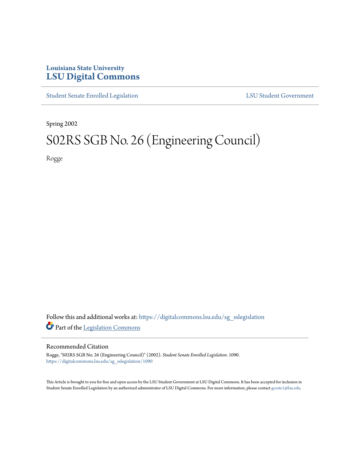## **Louisiana State University [LSU Digital Commons](https://digitalcommons.lsu.edu?utm_source=digitalcommons.lsu.edu%2Fsg_sslegislation%2F1090&utm_medium=PDF&utm_campaign=PDFCoverPages)**

[Student Senate Enrolled Legislation](https://digitalcommons.lsu.edu/sg_sslegislation?utm_source=digitalcommons.lsu.edu%2Fsg_sslegislation%2F1090&utm_medium=PDF&utm_campaign=PDFCoverPages) [LSU Student Government](https://digitalcommons.lsu.edu/sg?utm_source=digitalcommons.lsu.edu%2Fsg_sslegislation%2F1090&utm_medium=PDF&utm_campaign=PDFCoverPages)

Spring 2002

# S02RS SGB No. 26 (Engineering Council)

Rogge

Follow this and additional works at: [https://digitalcommons.lsu.edu/sg\\_sslegislation](https://digitalcommons.lsu.edu/sg_sslegislation?utm_source=digitalcommons.lsu.edu%2Fsg_sslegislation%2F1090&utm_medium=PDF&utm_campaign=PDFCoverPages) Part of the [Legislation Commons](http://network.bepress.com/hgg/discipline/859?utm_source=digitalcommons.lsu.edu%2Fsg_sslegislation%2F1090&utm_medium=PDF&utm_campaign=PDFCoverPages)

#### Recommended Citation

Rogge, "S02RS SGB No. 26 (Engineering Council)" (2002). *Student Senate Enrolled Legislation*. 1090. [https://digitalcommons.lsu.edu/sg\\_sslegislation/1090](https://digitalcommons.lsu.edu/sg_sslegislation/1090?utm_source=digitalcommons.lsu.edu%2Fsg_sslegislation%2F1090&utm_medium=PDF&utm_campaign=PDFCoverPages)

This Article is brought to you for free and open access by the LSU Student Government at LSU Digital Commons. It has been accepted for inclusion in Student Senate Enrolled Legislation by an authorized administrator of LSU Digital Commons. For more information, please contact [gcoste1@lsu.edu.](mailto:gcoste1@lsu.edu)